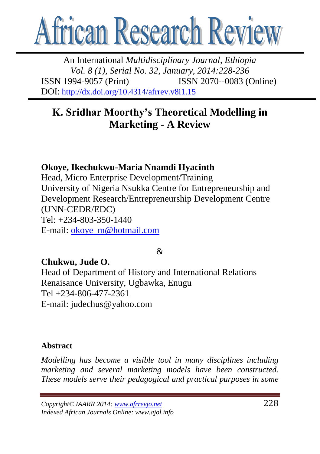

An International *Multidisciplinary Journal, Ethiopia Vol. 8 (1), Serial No. 32, January, 2014:228-236* ISSN 1994-9057 (Print) ISSN 2070--0083 (Online) DOI: <http://dx.doi.org/10.4314/afrrev.v8i1.15>

# **K. Sridhar Moorthy's Theoretical Modelling in Marketing - A Review**

# **Okoye, Ikechukwu-Maria Nnamdi Hyacinth**

Head, Micro Enterprise Development/Training University of Nigeria Nsukka Centre for Entrepreneurship and Development Research/Entrepreneurship Development Centre (UNN-CEDR/EDC) Tel: +234-803-350-1440 E-mail: [okoye\\_m@hotmail.com](mailto:okoye_m@hotmail.com)

#### $\mathcal{R}$

# **Chukwu, Jude O.**

Head of Department of History and International Relations Renaisance University, Ugbawka, Enugu Tel +234-806-477-2361 E-mail: judechus@yahoo.com

#### **Abstract**

*Modelling has become a visible tool in many disciplines including marketing and several marketing models have been constructed. These models serve their pedagogical and practical purposes in some* 

*Copyright© IAARR 2014: www.afrrevjo.net* 228 *Indexed African Journals Online: www.ajol.info*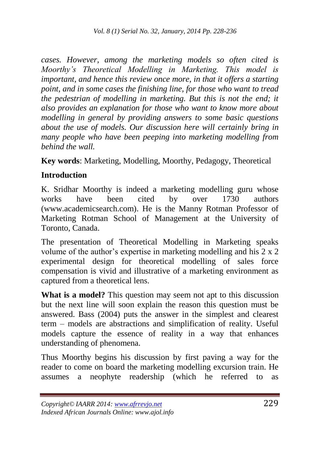*cases. However, among the marketing models so often cited is Moorthy"s Theoretical Modelling in Marketing. This model is important, and hence this review once more, in that it offers a starting point, and in some cases the finishing line, for those who want to tread the pedestrian of modelling in marketing. But this is not the end; it also provides an explanation for those who want to know more about modelling in general by providing answers to some basic questions about the use of models. Our discussion here will certainly bring in many people who have been peeping into marketing modelling from behind the wall.*

**Key words**: Marketing, Modelling, Moorthy, Pedagogy, Theoretical

#### **Introduction**

K. Sridhar Moorthy is indeed a marketing modelling guru whose works have been cited by over 1730 authors (www.academicsearch.com). He is the Manny Rotman Professor of Marketing Rotman School of Management at the University of Toronto, Canada.

The presentation of Theoretical Modelling in Marketing speaks volume of the author's expertise in marketing modelling and his 2 x 2 experimental design for theoretical modelling of sales force compensation is vivid and illustrative of a marketing environment as captured from a theoretical lens.

**What is a model?** This question may seem not apt to this discussion but the next line will soon explain the reason this question must be answered. Bass (2004) puts the answer in the simplest and clearest term – models are abstractions and simplification of reality. Useful models capture the essence of reality in a way that enhances understanding of phenomena.

Thus Moorthy begins his discussion by first paving a way for the reader to come on board the marketing modelling excursion train. He assumes a neophyte readership (which he referred to as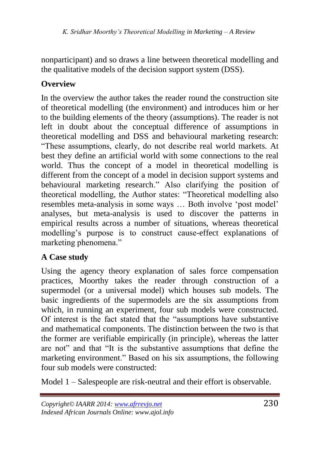nonparticipant) and so draws a line between theoretical modelling and the qualitative models of the decision support system (DSS).

# **Overview**

In the overview the author takes the reader round the construction site of theoretical modelling (the environment) and introduces him or her to the building elements of the theory (assumptions). The reader is not left in doubt about the conceptual difference of assumptions in theoretical modelling and DSS and behavioural marketing research: ―These assumptions, clearly, do not describe real world markets. At best they define an artificial world with some connections to the real world. Thus the concept of a model in theoretical modelling is different from the concept of a model in decision support systems and behavioural marketing research." Also clarifying the position of theoretical modelling, the Author states: "Theoretical modelling also resembles meta-analysis in some ways ... Both involve 'post model' analyses, but meta-analysis is used to discover the patterns in empirical results across a number of situations, whereas theoretical modelling's purpose is to construct cause-effect explanations of marketing phenomena."

# **A Case study**

Using the agency theory explanation of sales force compensation practices, Moorthy takes the reader through construction of a supermodel (or a universal model) which houses sub models. The basic ingredients of the supermodels are the six assumptions from which, in running an experiment, four sub models were constructed. Of interest is the fact stated that the "assumptions have substantive and mathematical components. The distinction between the two is that the former are verifiable empirically (in principle), whereas the latter are not" and that "It is the substantive assumptions that define the marketing environment." Based on his six assumptions, the following four sub models were constructed:

Model 1 – Salespeople are risk-neutral and their effort is observable.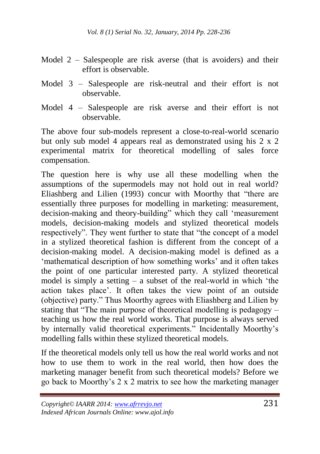- Model 2 Salespeople are risk averse (that is avoiders) and their effort is observable.
- Model 3 Salespeople are risk-neutral and their effort is not observable.
- Model 4 Salespeople are risk averse and their effort is not observable.

The above four sub-models represent a close-to-real-world scenario but only sub model 4 appears real as demonstrated using his 2 x 2 experimental matrix for theoretical modelling of sales force compensation.

The question here is why use all these modelling when the assumptions of the supermodels may not hold out in real world? Eliashberg and Lilien (1993) concur with Moorthy that "there are essentially three purposes for modelling in marketing: measurement, decision-making and theory-building" which they call 'measurement models, decision-making models and stylized theoretical models respectively". They went further to state that "the concept of a model in a stylized theoretical fashion is different from the concept of a decision-making model. A decision-making model is defined as a ‗mathematical description of how something works' and it often takes the point of one particular interested party. A stylized theoretical model is simply a setting  $-$  a subset of the real-world in which 'the action takes place'. It often takes the view point of an outside (objective) party." Thus Moorthy agrees with Eliashberg and Lilien by stating that "The main purpose of theoretical modelling is pedagogy  $$ teaching us how the real world works. That purpose is always served by internally valid theoretical experiments." Incidentally Moorthy's modelling falls within these stylized theoretical models.

If the theoretical models only tell us how the real world works and not how to use them to work in the real world, then how does the marketing manager benefit from such theoretical models? Before we go back to Moorthy's 2 x 2 matrix to see how the marketing manager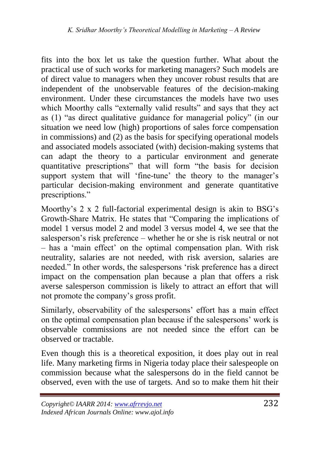fits into the box let us take the question further. What about the practical use of such works for marketing managers? Such models are of direct value to managers when they uncover robust results that are independent of the unobservable features of the decision-making environment. Under these circumstances the models have two uses which Moorthy calls "externally valid results" and says that they act as (1) "as direct qualitative guidance for managerial policy" (in our situation we need low (high) proportions of sales force compensation in commissions) and (2) as the basis for specifying operational models and associated models associated (with) decision-making systems that can adapt the theory to a particular environment and generate quantitative prescriptions" that will form "the basis for decision support system that will 'fine-tune' the theory to the manager's particular decision-making environment and generate quantitative prescriptions."

Moorthy's 2 x 2 full-factorial experimental design is akin to BSG's Growth-Share Matrix. He states that "Comparing the implications of model 1 versus model 2 and model 3 versus model 4, we see that the salesperson's risk preference – whether he or she is risk neutral or not – has a ‗main effect' on the optimal compensation plan. With risk neutrality, salaries are not needed, with risk aversion, salaries are needed." In other words, the salespersons 'risk preference has a direct impact on the compensation plan because a plan that offers a risk averse salesperson commission is likely to attract an effort that will not promote the company's gross profit.

Similarly, observability of the salespersons' effort has a main effect on the optimal compensation plan because if the salespersons' work is observable commissions are not needed since the effort can be observed or tractable.

Even though this is a theoretical exposition, it does play out in real life. Many marketing firms in Nigeria today place their salespeople on commission because what the salespersons do in the field cannot be observed, even with the use of targets. And so to make them hit their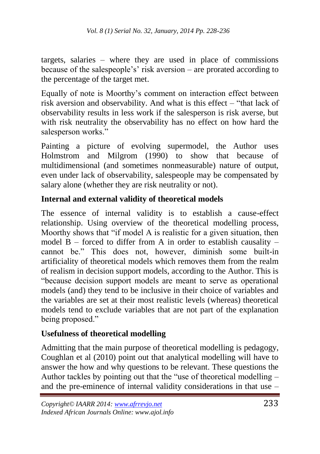targets, salaries – where they are used in place of commissions because of the salespeople's' risk aversion – are prorated according to the percentage of the target met.

Equally of note is Moorthy's comment on interaction effect between risk aversion and observability. And what is this effect  $-$  "that lack of observability results in less work if the salesperson is risk averse, but with risk neutrality the observability has no effect on how hard the salesperson works."

Painting a picture of evolving supermodel, the Author uses Holmstrom and Milgrom (1990) to show that because of multidimensional (and sometimes nonmeasurable) nature of output, even under lack of observability, salespeople may be compensated by salary alone (whether they are risk neutrality or not).

#### **Internal and external validity of theoretical models**

The essence of internal validity is to establish a cause-effect relationship. Using overview of the theoretical modelling process, Moorthy shows that "if model A is realistic for a given situation, then model  $B$  – forced to differ from A in order to establish causality – cannot be." This does not, however, diminish some built-in artificiality of theoretical models which removes them from the realm of realism in decision support models, according to the Author. This is ―because decision support models are meant to serve as operational models (and) they tend to be inclusive in their choice of variables and the variables are set at their most realistic levels (whereas) theoretical models tend to exclude variables that are not part of the explanation being proposed."

#### **Usefulness of theoretical modelling**

Admitting that the main purpose of theoretical modelling is pedagogy, Coughlan et al (2010) point out that analytical modelling will have to answer the how and why questions to be relevant. These questions the Author tackles by pointing out that the "use of theoretical modelling  $$ and the pre-eminence of internal validity considerations in that use –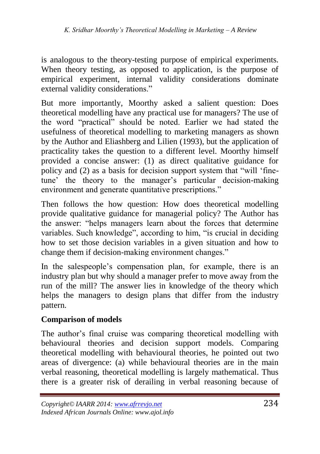is analogous to the theory-testing purpose of empirical experiments. When theory testing, as opposed to application, is the purpose of empirical experiment, internal validity considerations dominate external validity considerations."

But more importantly, Moorthy asked a salient question: Does theoretical modelling have any practical use for managers? The use of the word "practical" should be noted. Earlier we had stated the usefulness of theoretical modelling to marketing managers as shown by the Author and Eliashberg and Lilien (1993), but the application of practicality takes the question to a different level. Moorthy himself provided a concise answer: (1) as direct qualitative guidance for policy and  $(2)$  as a basis for decision support system that "will 'finetune' the theory to the manager's particular decision-making environment and generate quantitative prescriptions."

Then follows the how question: How does theoretical modelling provide qualitative guidance for managerial policy? The Author has the answer: "helps managers learn about the forces that determine variables. Such knowledge", according to him, "is crucial in deciding how to set those decision variables in a given situation and how to change them if decision-making environment changes."

In the salespeople's compensation plan, for example, there is an industry plan but why should a manager prefer to move away from the run of the mill? The answer lies in knowledge of the theory which helps the managers to design plans that differ from the industry pattern.

#### **Comparison of models**

The author's final cruise was comparing theoretical modelling with behavioural theories and decision support models. Comparing theoretical modelling with behavioural theories, he pointed out two areas of divergence: (a) while behavioural theories are in the main verbal reasoning, theoretical modelling is largely mathematical. Thus there is a greater risk of derailing in verbal reasoning because of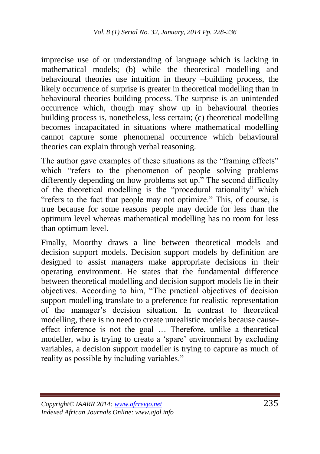imprecise use of or understanding of language which is lacking in mathematical models; (b) while the theoretical modelling and behavioural theories use intuition in theory –building process, the likely occurrence of surprise is greater in theoretical modelling than in behavioural theories building process. The surprise is an unintended occurrence which, though may show up in behavioural theories building process is, nonetheless, less certain; (c) theoretical modelling becomes incapacitated in situations where mathematical modelling cannot capture some phenomenal occurrence which behavioural theories can explain through verbal reasoning.

The author gave examples of these situations as the "framing effects" which "refers to the phenomenon of people solving problems differently depending on how problems set up." The second difficulty of the theoretical modelling is the "procedural rationality" which "refers to the fact that people may not optimize." This, of course, is true because for some reasons people may decide for less than the optimum level whereas mathematical modelling has no room for less than optimum level.

Finally, Moorthy draws a line between theoretical models and decision support models. Decision support models by definition are designed to assist managers make appropriate decisions in their operating environment. He states that the fundamental difference between theoretical modelling and decision support models lie in their objectives. According to him, "The practical objectives of decision support modelling translate to a preference for realistic representation of the manager's decision situation. In contrast to theoretical modelling, there is no need to create unrealistic models because causeeffect inference is not the goal … Therefore, unlike a theoretical modeller, who is trying to create a 'spare' environment by excluding variables, a decision support modeller is trying to capture as much of reality as possible by including variables."